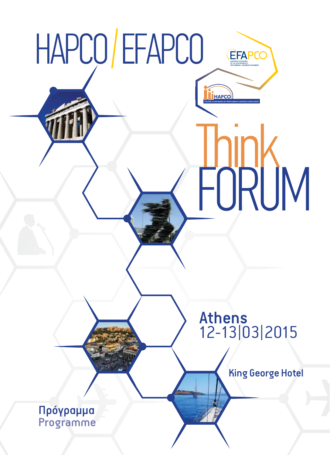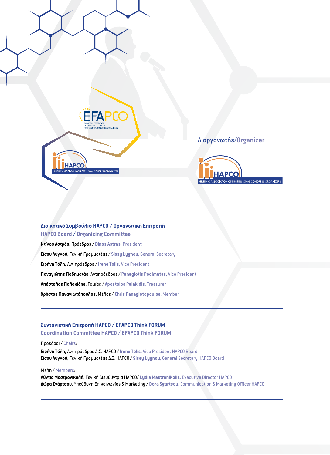

# Διοργανωτής/Organizer



# **Διοικητικό Συμβούλιο HAPCO / Οργανωτική Επιτροπή HAPCO Board / Organizing Committee**

**Ντίνος Αστράς**, Πρόεδρος / **Dinos Astras**, President **Σίσσυ Λυγνού**, Γενική Γραμματέας / **Sissy Lygnou**, General Secretary **Ειρήνη Τόλη**, Αντιπρόεδρος / **Irene Tolis**, Vice President **Παναγιώτης Ποδηματάς**, Αντιπρόεδρος / **Panagiotis Podimatas**, Vice President **Απόστολος Παλακίδης**, Ταμίας / **Apostolos Palakidis**, Treasurer **Χρήστος Παναγιωτόπουλος**, Μέλος / **Chris Panagiotopoulos**, Member

# **Συντονιστική Επιτροπή HAPCO / EFAPCO Think FORUM**

**Coordination Committee HAPCO / EFAPCO Think FORUM**

## Πρόεδροι / Chairs:

**Ειρήνη Τόλη**, Αντιπρόεδρος Δ.Σ. HAPCO /**Irene Tolis**, Vice President HAPCO Board **Σίσσυ Λυγνού**, Γενική Γραμματέας Δ.Σ. HAPCO / **Sissy Lygnou**, General Secretary HAPCO Board

## Μέλη / Members:

**Λύντια Μαστρονικολή**, Γενική Διευθύντρια HAPCO/ **Lydia Mastronikolis**, Executive Director HAPCO **Δώρα Σγάρτσου**, Υπεύθυνη Επικοινωνίας & Marketing / **Dora Sgartsou**, Communication & Marketing Officer HAPCO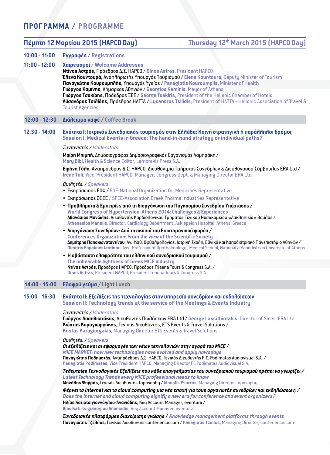# **ΠΡΟΓΡΑΜΜΑ / PROGRAMME**

| Πέμπτη 12 Μαρτίου 2015 (ΗΑΡCO Day) |                                                                                                                                                                                                                                                                                                                                                                                             | Thursday 12th March 2015 (HAPCO Day)                                                                                                                                                                           |  |
|------------------------------------|---------------------------------------------------------------------------------------------------------------------------------------------------------------------------------------------------------------------------------------------------------------------------------------------------------------------------------------------------------------------------------------------|----------------------------------------------------------------------------------------------------------------------------------------------------------------------------------------------------------------|--|
| $10:00 - 11:00$                    | Eyypaoés / Registrations                                                                                                                                                                                                                                                                                                                                                                    |                                                                                                                                                                                                                |  |
| $11:00 - 12:00$                    | Χαιρετισμοί / Welcome Addresses<br>Nτίνοs Αστράs, Πρόεδροs Δ.Σ. HAPCO / Dinos Astras, President HAPCO                                                                                                                                                                                                                                                                                       |                                                                                                                                                                                                                |  |
|                                    | <b>Έλενα Κουντουρά, Αναπληρωτής Υπουργός Τουρισμού / Elena Kountoura, Deputy Minister of Tourism</b><br>Παναγιώτης Κουρουμπλής, Υπουργός Υγείας / Panagiotis Kouroumplis, Minister of Health                                                                                                                                                                                                |                                                                                                                                                                                                                |  |
|                                    | Γιώργοs Kaμίνηs, Δήμαρχοs Αθηνών / Georgios Kaminis, Mayor of Athens<br><b>Tourist Agencies</b>                                                                                                                                                                                                                                                                                             | Γιώργοs Tσακίρηs, Πρόεδροs ΞΕΕ / George Tsakiris, President of the Hellenic Chamber of Hotels<br>Λύσανδροs Tσιλίδηs, Πρόεδροs HATTA / Lysandros Tsilidis, President of HATTA -Hellenic Association of Travel & |  |
| $12:00 - 12:30$                    | Διάλειμμα καφέ / Coffee Break                                                                                                                                                                                                                                                                                                                                                               |                                                                                                                                                                                                                |  |
| $12:30 - 14:00$                    |                                                                                                                                                                                                                                                                                                                                                                                             | Ενότητα Ι: Ιατρικόs Συνεδριακόs τουρισμόs στην Ελλάδα: Κοινή στρατηγική ή παράλληλοι δρόμοι;<br>Session I: Medical Events in Greece: The hand-in-hand strategy or individual paths?                            |  |
|                                    | Σ <b>υντονιστέs</b> / Moderators                                                                                                                                                                                                                                                                                                                                                            |                                                                                                                                                                                                                |  |
|                                    | Μαίρη Μπιμπή, Δημοσιογράφος Δημοσιογραφικός Οργανισμός Λαμπράκη /<br>Mary Bibi, Health & Science Editor, Lambrakis Press S.A.                                                                                                                                                                                                                                                               |                                                                                                                                                                                                                |  |
|                                    | Irene Toli, Vice-President HAPCO, Manager, Congress Dept. & Managing Director ERA Ltd                                                                                                                                                                                                                                                                                                       | Ειρήνη Τόλη, Αντιπρόεδροs Δ.Σ. ΗΑΡCO, Διευθύντρια Τμήματοs Συνεδρίων & Διευθύνουσα Σύμβουλοs ERA Ltd /                                                                                                         |  |
|                                    | Dμιλητέs: / Speakers:                                                                                                                                                                                                                                                                                                                                                                       |                                                                                                                                                                                                                |  |
|                                    | • Exnpóownos E00 / E0F-National Organization for Medicines Representative<br>• Eκπρόσωποs ΣΦΕΕ / SFEE-Association Greek Pharma Industries Representative                                                                                                                                                                                                                                    |                                                                                                                                                                                                                |  |
|                                    |                                                                                                                                                                                                                                                                                                                                                                                             | • Προβλήματα & Εμπειρίεs από τη διοργάνωση του Παγκοσμίου Συνεδρίου Υπέρτασηs /                                                                                                                                |  |
|                                    | World Congress of Hypertension, Athens 2014: Challenges & Experiences<br>Athanasios Manolis, Director, Cardiology Department, Asklepeion Hospital, Athens, Greece                                                                                                                                                                                                                           | Aθανάσιοs Mavώλns, Διευθυντήs Καρδιολογικού Τμήματοs Γενικού Νοσοκομείου «Ασκληπιείο» Βούλαs /                                                                                                                 |  |
|                                    | • Διοργάνωση Συνεδρίων: Από τη σκοπιά του Επιστημονικού φορέα /<br><b>Conferences Organization: From the view of the Scientific Society</b><br>Δημήτρηs Παπακωνσταντίνου, Αν. Καθ. Οφθαλμολογίαs, Ιατρική Σχολή, Εθνικό και Καποδιστριακό Πανεπιστήμιο Αθηνών /<br>Dimitris Papakonstantinou, Ass. Professor of Ophthalmology, Medical School, National & Kapodistrian University of Athens |                                                                                                                                                                                                                |  |
|                                    | • Η αβάσταχτη ελαφρότητα του ελληνικού συνεδριακού τουρισμού /<br>The unbearable lightness of Greek MICE industry                                                                                                                                                                                                                                                                           |                                                                                                                                                                                                                |  |
|                                    | Nτίνοs Aστράs, Πρόεδροs HAPCO, Πρόεδροs Triaena Tours & Congress S.A. /<br>Dinos Astras, President HAPCO, President Triaena Tours & Congress S.A.                                                                                                                                                                                                                                           |                                                                                                                                                                                                                |  |
| $14:00 - 15:00$                    | Ελαφρύ γεύμα / Light Lunch                                                                                                                                                                                                                                                                                                                                                                  |                                                                                                                                                                                                                |  |
| $15:00 - 16:30$                    | Session II: Technology trends at the service of the Meetings & Events Industry                                                                                                                                                                                                                                                                                                              | Evóτητα II: Εξελίξειs της τεχνολογίαs στην υπηρεσία συνεδρίων και εκδηλώσεων                                                                                                                                   |  |
|                                    | Συντονιστέs / Moderators<br>Κώσταs Καραγιωργάκηs, Γενικόs Διευθυντήs, ETS Events & Travel Solutions /<br>Kostas Karagiorgakis, Managing Director ETS Events & Travel Solutions                                                                                                                                                                                                              | Γιώργοs Λασηθιωτάκηs, Διευθυντήs Πωλήσεων ERA Ltd / George Lassithiotakis, Director of Sales, ERA Ltd                                                                                                          |  |
|                                    | <b>θμιλητέs:/ Speakers:</b><br>Οι εξελίξειs και οι εφαρμογέs των νέων τεχνολογιών στην αγορά του MICE /<br>MICE MARKET: how new technologies have evolved and apply nowadays<br>Panagiotis Podimatas, Vice President HAPCO, Managing Director PC Podimatas Audiovisual S.A.                                                                                                                 | Παναγιώτηs Ποδηματάs, Αντιπρόεδροs Δ.Σ. ΗΑΡCO, Γενικόs Διευθυντήs P.C. Podimatas Audiovisual S.A. /                                                                                                            |  |
|                                    | Latest Technology Trends every MICE professional needs to know                                                                                                                                                                                                                                                                                                                              | Tereutales Τεχνοrιογικέs Εξεrιίξειs που κάθε επαγγεrιματίαs του συνεδριακού τουρισμού πρέπει να γνωρίζει /<br>Mavónns Ψαρρόs, Γενικόs Διευθυντήs Toposophy / Manolis Psarros, Managing Director Toposophy      |  |
|                                    | Hλίαs Κατιρτσιγιαννόγλου-Avaviáδns, Key Account Manager, eventora /<br>Ilias Katirtsigianoglou Ananiadis, Key Account Manager, eventora                                                                                                                                                                                                                                                     | Φέρνει το Internet και το cloud computing μια νέα εποχή για τουs οργανωτέs συνεδρίων και εκδηλώσεων; /<br>Does the internet and cloud computing signify a new era for conference and event organizers?         |  |
|                                    |                                                                                                                                                                                                                                                                                                                                                                                             | Συνεδριακέs πλατφόρμεs διαχείρισηs γνώσηs / Knowledge management platforms through events<br>Παναγιώτης Tζέλλος, Γενικός Διευθυντής conferience.com / Panagiotis Tzellos, Managing Director, conferience.com   |  |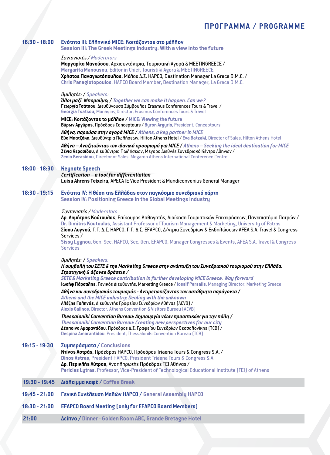# **ΠΡΟΓΡΑΜΜΑ / PROGRAMME**

#### **16:30 - 18:00 Ενότητα III: Ελληνικό MICE: Κοιτάζοντας στο μέλλον Session III: The Greek Meetings Industry: With a view into the future**

#### *Συντονιστές / Moderators*

**Μαργαρίτα Μανούσου**, Αρχισυντάκτρια, Τουριστική Αγορά & MEETINGREECE / **Margarita Manousou**, Editor in Chief, Touristiki Agora & MEETINGREECE **Χρήστος Παναγιωτόπουλος**, Μέλος Δ.Σ. HAPCO, Destination Manager La Greca D.M.C. / **Chris Panagiotopoulos**, HAPCO Board Member, Destination Manager, La Greca D.M.C.

#### *Ομιλητές:* **/** *Speakers:*

*Όλοι μαζί. Μπορούμε;* **/** *Together we can make it happen. Can we?* **Γεωργία Τσάτσου**, Διευθύνουσα Σύμβουλος Erasmus Conferences Tours & Travel / **Georgia Tsatsou**, Managing Director, Erasmus Conferences Tours & Travel

**MICE: Κοιτάζοντας το μέλλον / MICE: Viewing the future Βύρων Αργύρης**, Πρόεδρος Conceptours / **Byron Argyris**, President, Conceptours

*Αθήνα, παρούσα στην αγορά MICE* **/** *Athens, a key partner in MICE* **Εύα Μπατζάκη**, Διευθύντρια Πωλήσεων, Hilton Athens Hotel / **Eva Batzaki**, Director of Sales, Hilton Athens Hotel *Αθήνα – Αναζητώντας τον ιδανικό προορισμό για MICE* **/** *Athens – Seeking the ideal destination for MICE*

**Ζένια Κερασίδου**, Διευθύντρια Πωλήσεων, Μέγαρο Διεθνές Συνεδριακό Κέντρο Αθηνών / **Zenia Kerasidou**, Director of Sales, Megaron Athens International Conference Centre

## **18:00 - 18:30 Keynote Speech**

*Certification – a tool for differentiation* **Luisa Ahrens Teixeira**, APECATE Vice President & Mundiconvenius General Manager

### **18:30 - 19:15 Ενότητα IV: Η θέση της Ελλάδας στον παγκόσμιο συνεδριακό χάρτη Session IV: Positioning Greece in the Global Meetings Industry**

#### *Συντονιστές / Moderators*

**Δρ. Δημήτρης Κούτουλας**, Επίκουρος Καθηγητής, Διοίκηση Τουριστικών Επιχειρήσεων, Πανεπιστήμιο Πατρών / **Dr. Dimitris Koutoulas**, Assistant Professor of Tourism Management & Marketing, University of Patras **Σίσσυ Λυγνού**, Γ.Γ. Δ.Σ. HAPCO, Γ.Γ. Δ.Σ. EFAPCO, Δ/ντρια Συνεδρίων & Εκδηλώσεων AFEA S.A. Travel & Congress Services /

**Sissy Lygnou**, Gen. Sec. HAPCO, Sec. Gen. EFAPCO, Manager Congresses & Events, AFEA S.A. Travel & Congress **Services** 

#### *Ομιλητές:* **/** *Speakers:*

#### *H συμβολή του ΣΕΤΕ & της Marketing Greece στην ανάπτυξη του Συνεδριακού τουρισμού στην Ελλάδα. Στρατηγική & άξονες δράσεις /*

*SETE & Marketing Greece contribution in further developing MICE Greece. Way forward*  **Ιωσήφ Πάρσαλης**, Γενικός Διευθυντής, Marketing Greece / **Iossif Parsalis**, Managing Director, Marketing Greece

*Αθήνα και συνεδριακός τουρισμός - Αντιμετωπίζοντας τον αστάθμητο παράγοντα* **/** *Athens and the MICE industry: Dealing with the unknown* **Αλέξης Γαληνός**, Διευθυντής Γραφείου Συνεδρίων Αθήνας (ACVB) / **Alexis Galinos**, Director, Athens Convention & Visitors Bureau (ACVB)

*Thessaloniki Convention Bureau: Δημιουργία νέων προοπτικών για την πόλη* **/** *Thessaloniki Convention Bureau: Creating new perspectives for our city* **Δέσποινα Αμαραντίδου**, Πρόεδρος Δ.Σ. Γραφείου Συνεδρίων Θεσσαλονίκης (TCB) / **Despina Amarantidou**, President, Thessaloniki Convention Bureau (TCB)

#### **19:15 - 19:30 Συμπεράσματα / Conclusions**

**Ντίνος Αστράς,** Πρόεδρος HAPCO, Πρόεδρος Triaena Tours & Congress S.A. / **Dinos Astras**, President HAPCO, President Triaena Tours & Congress S.A. **Δρ. Περικλής Λύτρας**, Αναπληρωτής Πρόεδρος ΤΕΙ Αθήνας / **Pericles Lytras**, Professor, Vice-President of Technological Educational Institute (ΤΕΙ) of Athens

## **19:30 - 19:45 Διάλειμμα καφέ / Coffee Break**

- **19:45 21:00 Γενική Συνέλευση Μελών HAPCO / General Assembly HAPCO**
- **18:30 21:00 EFAPCO Board Μeeting (only for EFAPCO Board Μembers)**
- **21:00 Δείπνο / Dinner Golden Room ABC, Grande Bretagne Hotel**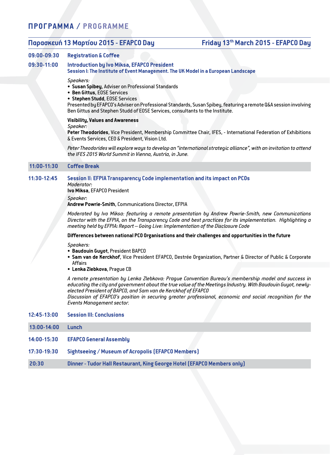# **ΠΡΟΓΡΑΜΜΑ / PROGRAMME**

# **Παρασκευή 13 Μαρτίου 2015 - EFAPCO Day Friday 13th March 2015 - EFAPCO Day**

# **09:00-09:30 Registration & Coffee**

#### **09:30-11:00 Introduction by Ivo Miksa, EFAPCO President Session I: The Institute of Event Management. The UK Model in a European Landscape**

#### *Speakers:*

- **• Susan Spibey**, Adviser on Professional Standards
- **• Ben Gittus**, EOSE Services
- **• Stephen Studd**, EOSE Services

Presented by EFAPCO's Adviser on Professional Standards, Susan Spibey, featuring a remote Q&A session involving Ben Gittus and Stephen Studd of EOSE Services, consultants to the Institute.

# **Visibility, Values and Awareness**

*Speaker:*

**Peter Theodorides**, Vice President, Membership Committee Chair, IFES, - International Federation of Exhibitions & Events Services, CEO & President, Vision Ltd.

*Peter Theodorides will explore ways to develop an "international strategic alliance", with an invitation to attend the IFES 2015 World Summit in Vienna, Austria, in June.*

### **11:00-11:30 Coffee Break**

## **11:30-12:45 Session II: EFPIA Transparency Code implementation and its impact on PCOs**

*Moderator:* **Ivo Miksa**, EFAPCO President

*Speaker:*

**Andrew Powrie-Smith**, Communications Director, EFPIA

*Moderated by Ivo Miksa: featuring a remote presentation by Andrew Powrie-Smith, new Communications Director with the EFPIA, on the Transparency Code and best practices for its implementation. Highlighting a meeting held by EFPIA: Report – Going Live: Implementation of the Disclosure Code*

#### **Differences between national PCO Organisations and their challenges and opportunities in the future**

*Speakers:*

- **• Baudouin Guyot**, President BAPCO
- **• Sam van de Kerckhof**, Vice President EFAPCO, Destrée Organization, Partner & Director of Public & Corporate Affairs
- **• Lenka Zlebkova**, Prague CB

*A remote presentation by Lenka Zlebkova: Prague Convention Bureau's membership model and success in educating the city and government about the true value of the Meetings Industry. With Baudouin Guyot, newlyelected President of BAPCO, and Sam van de Kerckhof of EFAPCO*

*Discussion of EFAPCO's position in securing greater professional, economic and social recognition for the Events Management sector.*

| $12:45-13:00$ |  | <b>Session III: Conclusions</b> |
|---------------|--|---------------------------------|
|---------------|--|---------------------------------|

 **13:00-14:00 Lunch**

- **14:00-15:30 EFAPCO General Assembly**
- **17:30-19:30 Sightseeing / Museum of Acropolis (EFAPCO Members)**
- **20:30 Dinner Tudor Hall Restaurant, King George Hotel (EFAPCO Members only)**